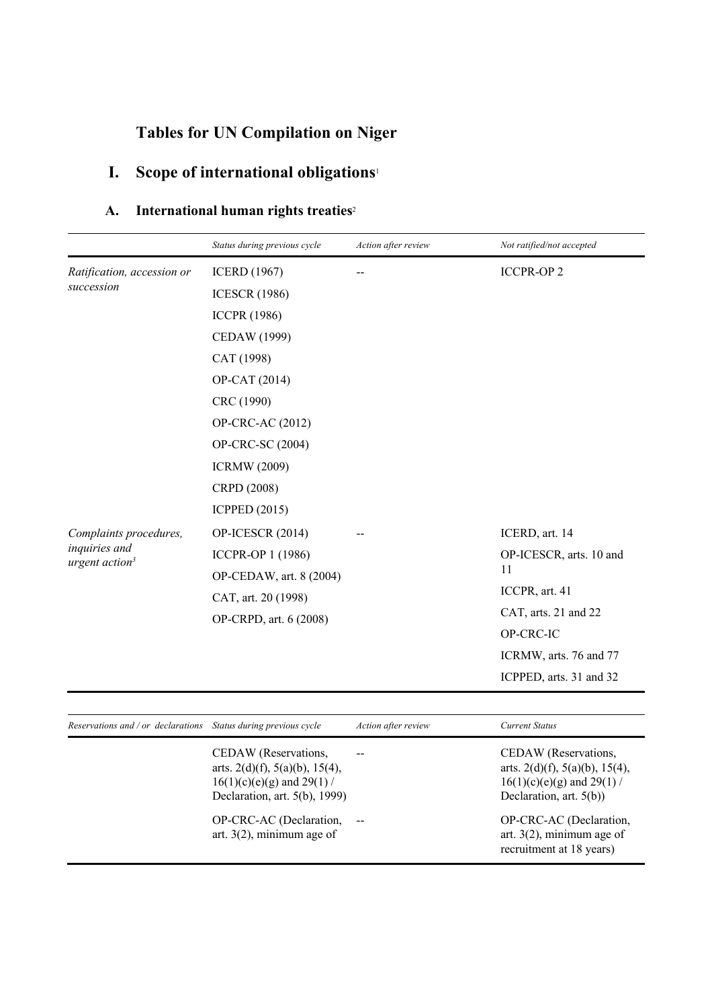# **Tables for UN Compilation on Niger**

# **I. Scope of international obligations**<sup>1</sup>

## **A. International human rights treaties**<sup>2</sup>

|                                             | Status during previous cycle | Action after review | Not ratified/not accepted |
|---------------------------------------------|------------------------------|---------------------|---------------------------|
| Ratification, accession or                  | <b>ICERD</b> (1967)          |                     | <b>ICCPR-OP2</b>          |
| succession                                  | <b>ICESCR (1986)</b>         |                     |                           |
|                                             | <b>ICCPR (1986)</b>          |                     |                           |
|                                             | CEDAW (1999)                 |                     |                           |
|                                             | CAT (1998)                   |                     |                           |
|                                             | OP-CAT (2014)                |                     |                           |
|                                             | CRC (1990)                   |                     |                           |
|                                             | OP-CRC-AC (2012)             |                     |                           |
|                                             | OP-CRC-SC (2004)             |                     |                           |
|                                             | <b>ICRMW</b> (2009)          |                     |                           |
|                                             | CRPD (2008)                  |                     |                           |
|                                             | <b>ICPPED</b> (2015)         |                     |                           |
| Complaints procedures,                      | OP-ICESCR (2014)             |                     | ICERD, art. 14            |
| inquiries and<br>urgent action <sup>3</sup> | ICCPR-OP 1 (1986)            |                     | OP-ICESCR, arts. 10 and   |
|                                             | OP-CEDAW, art. 8 (2004)      |                     | 11                        |
|                                             | CAT, art. 20 (1998)          |                     | ICCPR, art. 41            |
|                                             | OP-CRPD, art. 6 (2008)       |                     | CAT, arts. 21 and 22      |
|                                             |                              |                     | OP-CRC-IC                 |
|                                             |                              |                     | ICRMW, arts. 76 and 77    |
|                                             |                              |                     | ICPPED, arts. 31 and 32   |

| Reservations and / or declarations Status during previous cycle |                                                                                                                                  | Action after review | <b>Current Status</b>                                                                                                         |
|-----------------------------------------------------------------|----------------------------------------------------------------------------------------------------------------------------------|---------------------|-------------------------------------------------------------------------------------------------------------------------------|
|                                                                 | CEDAW (Reservations,<br>arts. $2(d)(f)$ , $5(a)(b)$ , $15(4)$ ,<br>$16(1)(c)(e)(g)$ and 29(1) /<br>Declaration, art. 5(b), 1999) |                     | CEDAW (Reservations,<br>arts. $2(d)(f)$ , $5(a)(b)$ , $15(4)$ ,<br>$16(1)(c)(e)(g)$ and 29(1) /<br>Declaration, art. $5(b)$ ) |
|                                                                 | OP-CRC-AC (Declaration,<br>art. $3(2)$ , minimum age of                                                                          |                     | OP-CRC-AC (Declaration,<br>art. $3(2)$ , minimum age of<br>recruitment at 18 years)                                           |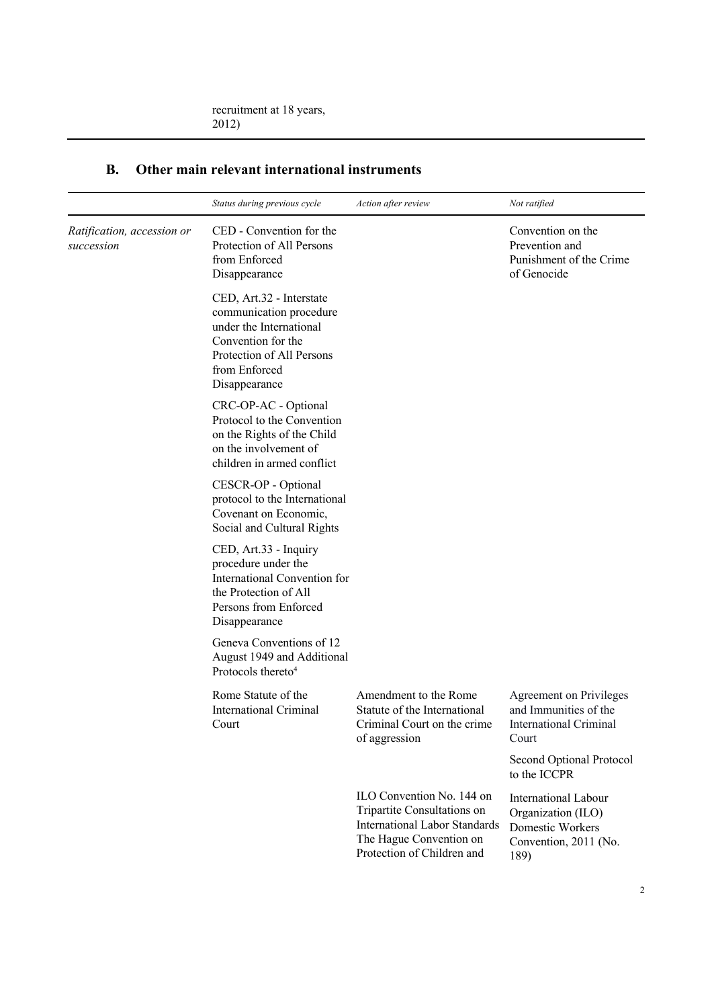|                                          | Status during previous cycle                                                                                                                                        | Action after review                                                                                                                                       | Not ratified                                                                                           |
|------------------------------------------|---------------------------------------------------------------------------------------------------------------------------------------------------------------------|-----------------------------------------------------------------------------------------------------------------------------------------------------------|--------------------------------------------------------------------------------------------------------|
| Ratification, accession or<br>succession | CED - Convention for the<br>Protection of All Persons<br>from Enforced<br>Disappearance                                                                             |                                                                                                                                                           | Convention on the<br>Prevention and<br>Punishment of the Crime<br>of Genocide                          |
|                                          | CED, Art.32 - Interstate<br>communication procedure<br>under the International<br>Convention for the<br>Protection of All Persons<br>from Enforced<br>Disappearance |                                                                                                                                                           |                                                                                                        |
|                                          | CRC-OP-AC - Optional<br>Protocol to the Convention<br>on the Rights of the Child<br>on the involvement of<br>children in armed conflict                             |                                                                                                                                                           |                                                                                                        |
|                                          | CESCR-OP - Optional<br>protocol to the International<br>Covenant on Economic,<br>Social and Cultural Rights                                                         |                                                                                                                                                           |                                                                                                        |
|                                          | CED, Art.33 - Inquiry<br>procedure under the<br>International Convention for<br>the Protection of All<br>Persons from Enforced<br>Disappearance                     |                                                                                                                                                           |                                                                                                        |
|                                          | Geneva Conventions of 12<br>August 1949 and Additional<br>Protocols thereto <sup>4</sup>                                                                            |                                                                                                                                                           |                                                                                                        |
|                                          | Rome Statute of the<br><b>International Criminal</b><br>Court                                                                                                       | Amendment to the Rome<br>Statute of the International<br>Criminal Court on the crime<br>of aggression                                                     | Agreement on Privileges<br>and Immunities of the<br>International Criminal<br>Court                    |
|                                          |                                                                                                                                                                     |                                                                                                                                                           | Second Optional Protocol<br>to the ICCPR                                                               |
|                                          |                                                                                                                                                                     | ILO Convention No. 144 on<br>Tripartite Consultations on<br><b>International Labor Standards</b><br>The Hague Convention on<br>Protection of Children and | <b>International Labour</b><br>Organization (ILO)<br>Domestic Workers<br>Convention, 2011 (No.<br>189) |

### **B. Other main relevant international instruments**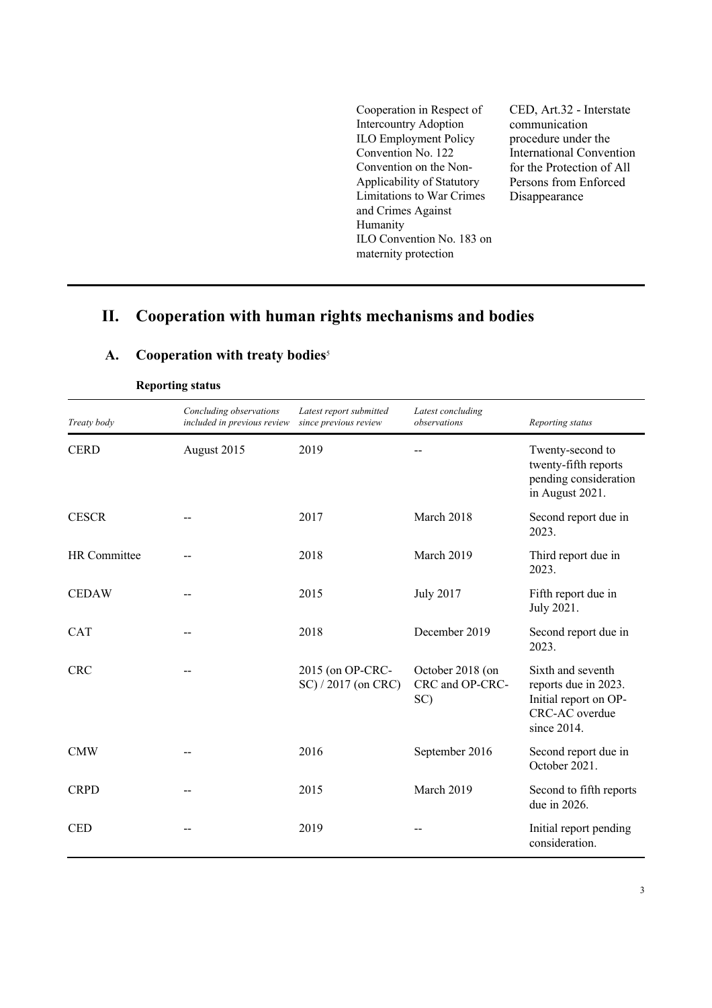Cooperation in Respect of Intercountry Adoption ILO Employment Policy Convention No. 122 Convention on the Non-Applicability of Statutory Limitations to War Crimes and Crimes Against Humanity ILO Convention No. 183 on maternity protection

CED, Art.32 - Interstate communication procedure under the International Convention for the Protection of All Persons from Enforced Disappearance

### **II. Cooperation with human rights mechanisms and bodies**

| Treaty body  | Concluding observations<br>included in previous review | Latest report submitted<br>since previous review | Latest concluding<br>observations          | Reporting status                                                                                    |
|--------------|--------------------------------------------------------|--------------------------------------------------|--------------------------------------------|-----------------------------------------------------------------------------------------------------|
| <b>CERD</b>  | August 2015                                            | 2019                                             |                                            | Twenty-second to<br>twenty-fifth reports<br>pending consideration<br>in August 2021.                |
| <b>CESCR</b> |                                                        | 2017                                             | March 2018                                 | Second report due in<br>2023.                                                                       |
| HR Committee |                                                        | 2018                                             | March 2019                                 | Third report due in<br>2023.                                                                        |
| <b>CEDAW</b> |                                                        | 2015                                             | <b>July 2017</b>                           | Fifth report due in<br>July 2021.                                                                   |
| CAT          |                                                        | 2018                                             | December 2019                              | Second report due in<br>2023.                                                                       |
| <b>CRC</b>   |                                                        | 2015 (on OP-CRC-<br>SC) / 2017 (on CRC)          | October 2018 (on<br>CRC and OP-CRC-<br>SC) | Sixth and seventh<br>reports due in 2023.<br>Initial report on OP-<br>CRC-AC overdue<br>since 2014. |
| <b>CMW</b>   |                                                        | 2016                                             | September 2016                             | Second report due in<br>October 2021.                                                               |
| <b>CRPD</b>  |                                                        | 2015                                             | March 2019                                 | Second to fifth reports<br>due in 2026.                                                             |
| <b>CED</b>   |                                                        | 2019                                             |                                            | Initial report pending<br>consideration.                                                            |

#### **A. Cooperation with treaty bodies**<sup>5</sup>

**Reporting status**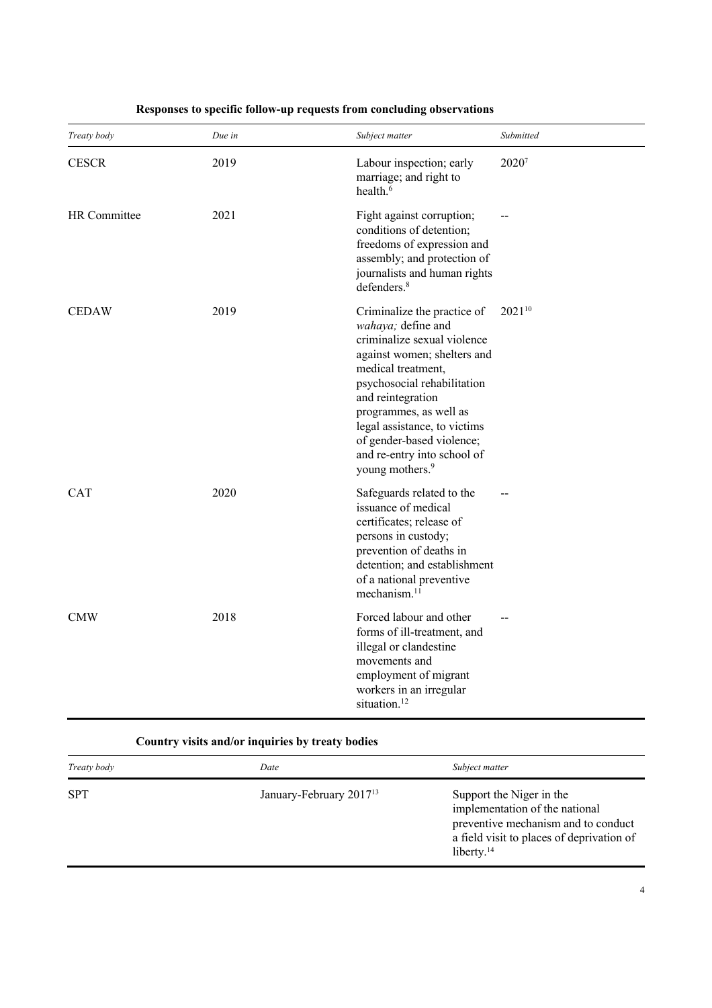| Treaty body  | Due in | Subject matter                                                                                                                                                                                                                                                                                                                                 | Submitted |
|--------------|--------|------------------------------------------------------------------------------------------------------------------------------------------------------------------------------------------------------------------------------------------------------------------------------------------------------------------------------------------------|-----------|
| <b>CESCR</b> | 2019   | Labour inspection; early<br>marriage; and right to<br>health. <sup>6</sup>                                                                                                                                                                                                                                                                     | 20207     |
| HR Committee | 2021   | Fight against corruption;<br>conditions of detention;<br>freedoms of expression and<br>assembly; and protection of<br>journalists and human rights<br>defenders. <sup>8</sup>                                                                                                                                                                  |           |
| <b>CEDAW</b> | 2019   | Criminalize the practice of<br>wahaya; define and<br>criminalize sexual violence<br>against women; shelters and<br>medical treatment,<br>psychosocial rehabilitation<br>and reintegration<br>programmes, as well as<br>legal assistance, to victims<br>of gender-based violence;<br>and re-entry into school of<br>young mothers. <sup>9</sup> | 202110    |
| <b>CAT</b>   | 2020   | Safeguards related to the<br>issuance of medical<br>certificates; release of<br>persons in custody;<br>prevention of deaths in<br>detention; and establishment<br>of a national preventive<br>mechanism. <sup>11</sup>                                                                                                                         |           |
| <b>CMW</b>   | 2018   | Forced labour and other<br>forms of ill-treatment, and<br>illegal or clandestine<br>movements and<br>employment of migrant<br>workers in an irregular<br>situation. <sup>12</sup>                                                                                                                                                              |           |

#### **Responses to specific follow-up requests from concluding observations**

#### **Country visits and/or inquiries by treaty bodies**

| <b>SPT</b><br>January-February 2017 <sup>13</sup><br>Support the Niger in the<br>implementation of the national<br>liberty. $14$ | Treaty body | Date | Subject matter                                                                   |
|----------------------------------------------------------------------------------------------------------------------------------|-------------|------|----------------------------------------------------------------------------------|
|                                                                                                                                  |             |      | preventive mechanism and to conduct<br>a field visit to places of deprivation of |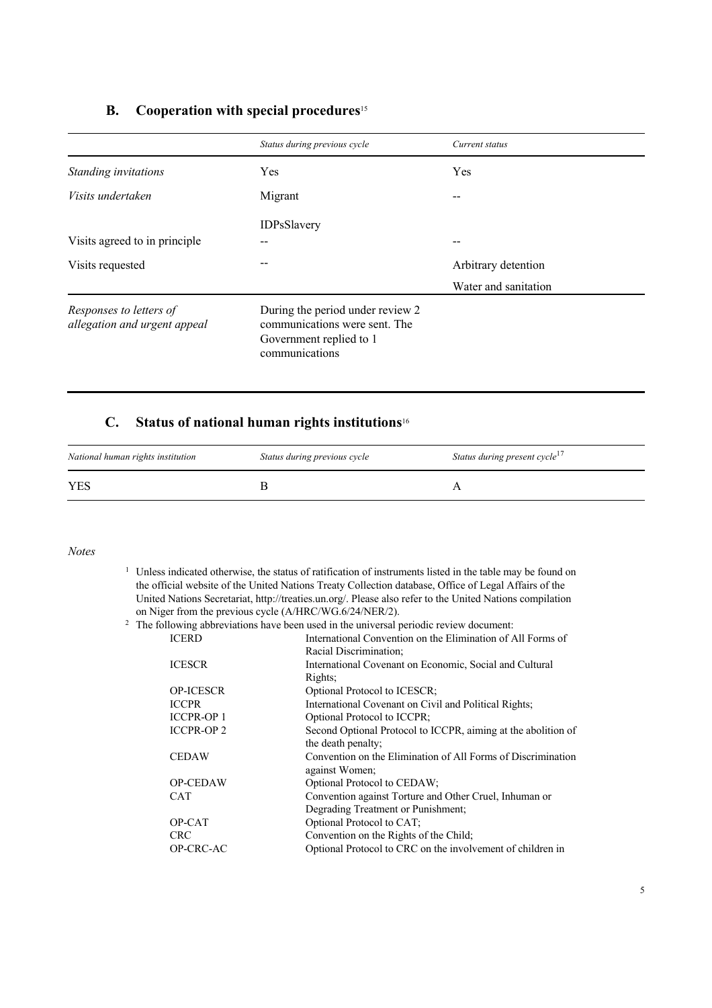#### **B. Cooperation with special procedures**<sup>15</sup>

|                                                         | Status during previous cycle                                                                                   | Current status       |
|---------------------------------------------------------|----------------------------------------------------------------------------------------------------------------|----------------------|
| Standing invitations                                    | Yes                                                                                                            | Yes                  |
| <i>Visits undertaken</i>                                | Migrant                                                                                                        | --                   |
| Visits agreed to in principle                           | IDPsSlavery                                                                                                    | --                   |
| Visits requested                                        |                                                                                                                | Arbitrary detention  |
|                                                         |                                                                                                                | Water and sanitation |
| Responses to letters of<br>allegation and urgent appeal | During the period under review 2<br>communications were sent. The<br>Government replied to 1<br>communications |                      |

### **C. Status of national human rights institutions**<sup>16</sup>

| National human rights institution | Status during previous cycle | Status during present cycle <sup>17</sup> |
|-----------------------------------|------------------------------|-------------------------------------------|
| <b>YES</b>                        |                              |                                           |

#### *Notes*

<sup>1</sup> Unless indicated otherwise, the status of ratification of instruments listed in the table may be found on the official website of the United Nations Treaty Collection database, Office of Legal Affairs of the United Nations Secretariat, http://treaties.un.org/. Please also refer to the United Nations compilation on Niger from the previous cycle (A/HRC/WG.6/24/NER/2).<br><sup>2</sup> The following abbreviations have been used in the universal p

|                   | $2\degree$ The following abbreviations have been used in the universal periodic review document: |
|-------------------|--------------------------------------------------------------------------------------------------|
| <b>ICERD</b>      | International Convention on the Elimination of All Forms of                                      |
|                   | Racial Discrimination;                                                                           |
| <b>ICESCR</b>     | International Covenant on Economic, Social and Cultural                                          |
|                   | Rights;                                                                                          |
| <b>OP-ICESCR</b>  | Optional Protocol to ICESCR;                                                                     |
| <b>ICCPR</b>      | International Covenant on Civil and Political Rights;                                            |
| <b>ICCPR-OP1</b>  | Optional Protocol to ICCPR;                                                                      |
| <b>ICCPR-OP 2</b> | Second Optional Protocol to ICCPR, aiming at the abolition of                                    |
|                   | the death penalty;                                                                               |
| <b>CEDAW</b>      | Convention on the Elimination of All Forms of Discrimination                                     |
|                   | against Women;                                                                                   |
| <b>OP-CEDAW</b>   | Optional Protocol to CEDAW;                                                                      |
| <b>CAT</b>        | Convention against Torture and Other Cruel, Inhuman or                                           |
|                   | Degrading Treatment or Punishment;                                                               |
| OP-CAT            | Optional Protocol to CAT;                                                                        |
| <b>CRC</b>        | Convention on the Rights of the Child;                                                           |
| OP-CRC-AC         | Optional Protocol to CRC on the involvement of children in                                       |
|                   |                                                                                                  |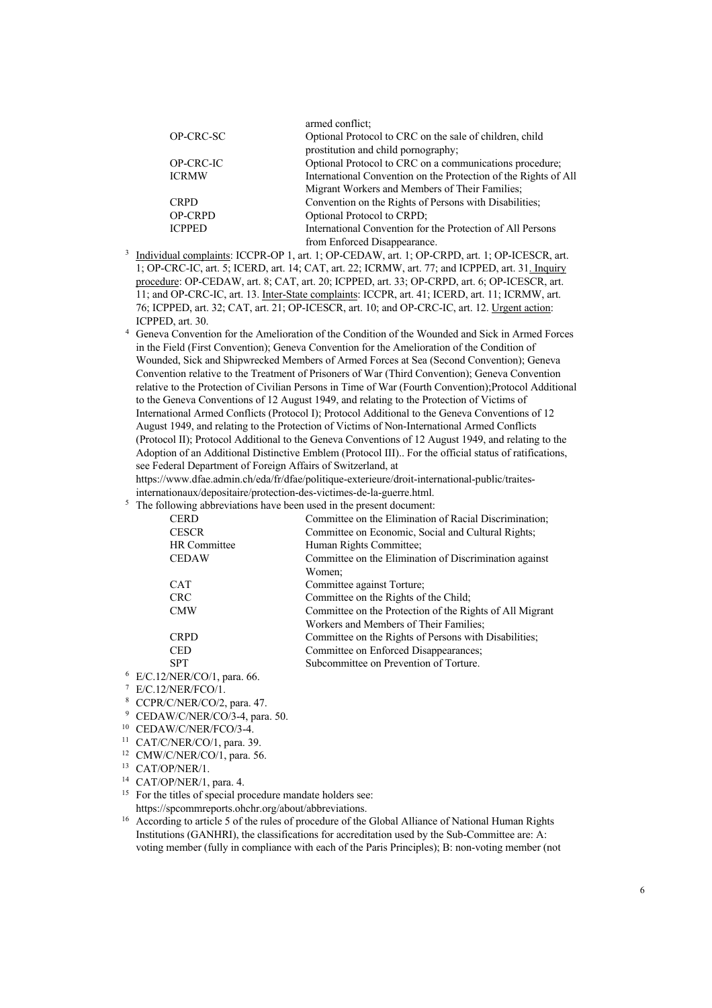|                | armed conflict;                                                 |
|----------------|-----------------------------------------------------------------|
| OP-CRC-SC      | Optional Protocol to CRC on the sale of children, child         |
|                | prostitution and child pornography;                             |
| OP-CRC-IC      | Optional Protocol to CRC on a communications procedure;         |
| <b>ICRMW</b>   | International Convention on the Protection of the Rights of All |
|                | Migrant Workers and Members of Their Families;                  |
| <b>CRPD</b>    | Convention on the Rights of Persons with Disabilities;          |
| <b>OP-CRPD</b> | Optional Protocol to CRPD;                                      |
| <b>ICPPED</b>  | International Convention for the Protection of All Persons      |
|                | from Enforced Disappearance.                                    |

- <sup>3</sup> Individual complaints: ICCPR-OP 1, art. 1; OP-CEDAW, art. 1; OP-CRPD, art. 1; OP-ICESCR, art. 1; OP-CRC-IC, art. 5; ICERD, art. 14; CAT, art. 22; ICRMW, art. 77; and ICPPED, art. 31. Inquiry procedure: OP-CEDAW, art. 8; CAT, art. 20; ICPPED, art. 33; OP-CRPD, art. 6; OP-ICESCR, art. 11; and OP-CRC-IC, art. 13. Inter-State complaints: ICCPR, art. 41; ICERD, art. 11; ICRMW, art. 76; ICPPED, art. 32; CAT, art. 21; OP-ICESCR, art. 10; and OP-CRC-IC, art. 12. Urgent action: ICPPED, art. 30.
- <sup>4</sup> Geneva Convention for the Amelioration of the Condition of the Wounded and Sick in Armed Forces in the Field (First Convention); Geneva Convention for the Amelioration of the Condition of Wounded, Sick and Shipwrecked Members of Armed Forces at Sea (Second Convention); Geneva Convention relative to the Treatment of Prisoners of War (Third Convention); Geneva Convention relative to the Protection of Civilian Persons in Time of War (Fourth Convention);Protocol Additional to the Geneva Conventions of 12 August 1949, and relating to the Protection of Victims of International Armed Conflicts (Protocol I); Protocol Additional to the Geneva Conventions of 12 August 1949, and relating to the Protection of Victims of Non-International Armed Conflicts (Protocol II); Protocol Additional to the Geneva Conventions of 12 August 1949, and relating to the Adoption of an Additional Distinctive Emblem (Protocol III).. For the official status of ratifications, see Federal Department of Foreign Affairs of Switzerland, at

https://www.dfae.admin.ch/eda/fr/dfae/politique-exterieure/droit-international-public/traitesinternationaux/depositaire/protection-des-victimes-de-la-guerre.html.

<sup>5</sup> The following abbreviations have been used in the present document:

| <b>CERD</b>                                | Committee on the Elimination of Racial Discrimination;   |
|--------------------------------------------|----------------------------------------------------------|
| <b>CESCR</b>                               | Committee on Economic, Social and Cultural Rights;       |
| <b>HR</b> Committee                        | Human Rights Committee;                                  |
| <b>CEDAW</b>                               | Committee on the Elimination of Discrimination against   |
|                                            | Women:                                                   |
| <b>CAT</b>                                 | Committee against Torture;                               |
| <b>CRC</b>                                 | Committee on the Rights of the Child;                    |
| <b>CMW</b>                                 | Committee on the Protection of the Rights of All Migrant |
|                                            | Workers and Members of Their Families:                   |
| <b>CRPD</b>                                | Committee on the Rights of Persons with Disabilities;    |
| <b>CED</b>                                 | Committee on Enforced Disappearances;                    |
| <b>SPT</b>                                 | Subcommittee on Prevention of Torture.                   |
| $\Delta \text{NED}$ (CO) $\frac{1}{2}$ (C) |                                                          |

- <sup>6</sup> E/C.12/NER/CO/1, para. 66.
- <sup>7</sup> E/C.12/NER/FCO/1.
- <sup>8</sup> CCPR/C/NER/CO/2, para. 47.
- <sup>9</sup> CEDAW/C/NER/CO/3-4, para. 50.
- <sup>10</sup> CEDAW/C/NER/FCO/3-4.
- <sup>11</sup> CAT/C/NER/CO/1, para. 39.
- <sup>12</sup> CMW/C/NER/CO/1, para. 56.
- <sup>13</sup> CAT/OP/NER/1.
- <sup>14</sup> CAT/OP/NER/1, para. 4.
- <sup>15</sup> For the titles of special procedure mandate holders see: https://spcommreports.ohchr.org/about/abbreviations.
- <sup>16</sup> According to article 5 of the rules of procedure of the Global Alliance of National Human Rights Institutions (GANHRI), the classifications for accreditation used by the Sub-Committee are: A: voting member (fully in compliance with each of the Paris Principles); B: non-voting member (not